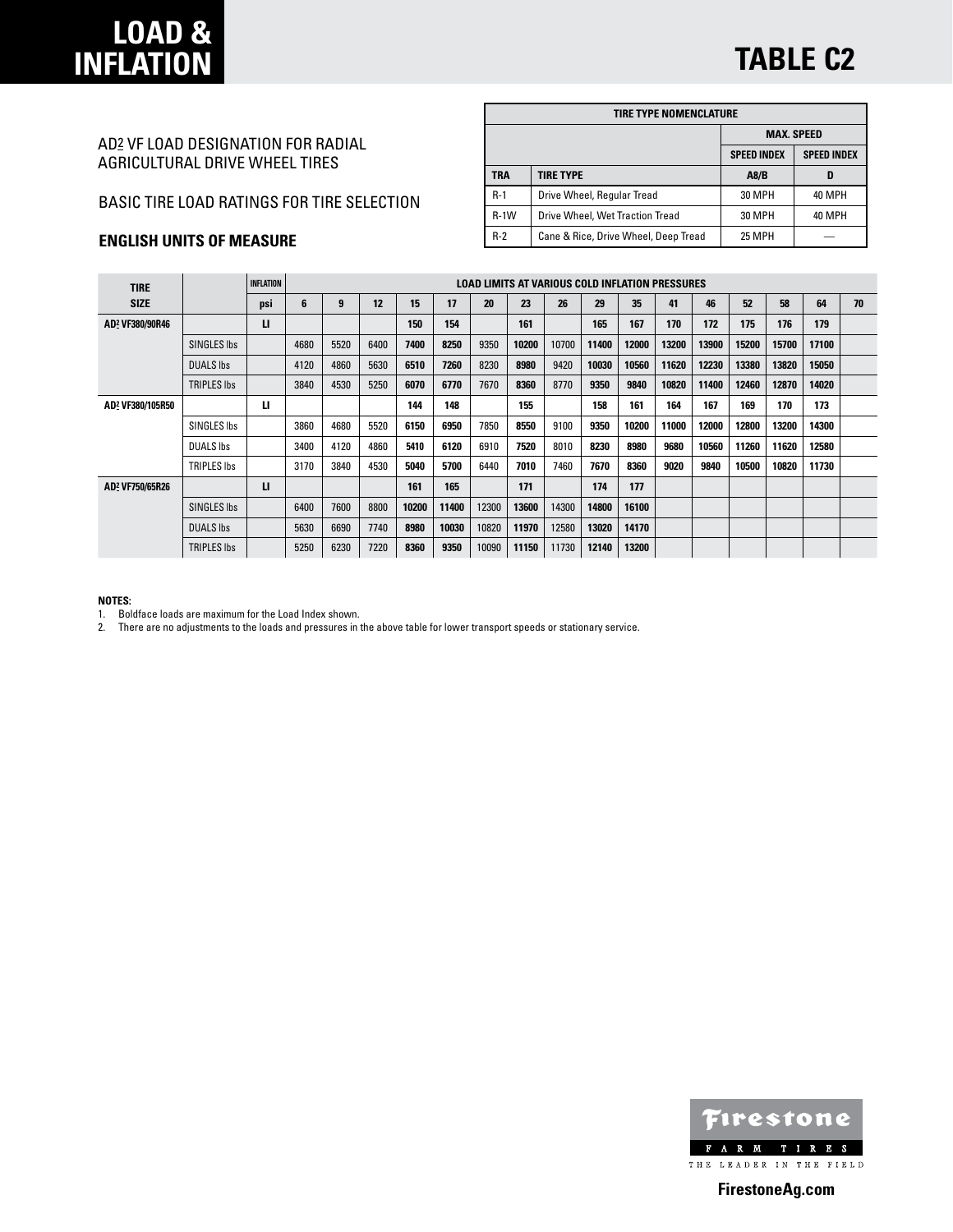# **LOAD & INFLATION**

# AD2 VF LOAD DESIGNATION FOR RADIAL AGRICULTURAL DRIVE WHEEL TIRES

### BASIC TIRE LOAD RATINGS FOR TIRE SELECTION

## **ENGLISH UNITS OF MEASURE**

| TIRE TYPE NOMENCLATURE |                                      |                                          |        |  |  |  |  |  |  |  |
|------------------------|--------------------------------------|------------------------------------------|--------|--|--|--|--|--|--|--|
|                        |                                      | <b>MAX. SPEED</b>                        |        |  |  |  |  |  |  |  |
|                        |                                      | <b>SPEED INDEX</b><br><b>SPEED INDEX</b> |        |  |  |  |  |  |  |  |
| TRA                    | <b>TIRE TYPE</b>                     | A8/B                                     | D      |  |  |  |  |  |  |  |
| $R-1$                  | Drive Wheel, Regular Tread           | <b>30 MPH</b>                            | 40 MPH |  |  |  |  |  |  |  |
| $R-1W$                 | Drive Wheel, Wet Traction Tread      | 30 MPH                                   | 40 MPH |  |  |  |  |  |  |  |
| $R-2$                  | Cane & Rice, Drive Wheel, Deep Tread | <b>25 MPH</b>                            |        |  |  |  |  |  |  |  |

| <b>TIRE</b>                 |                    | <b>INFLATION</b> |      | LOAD LIMITS AT VARIOUS COLD INFLATION PRESSURES |      |       |       |       |       |       |       |       |       |       |       |       |       |    |
|-----------------------------|--------------------|------------------|------|-------------------------------------------------|------|-------|-------|-------|-------|-------|-------|-------|-------|-------|-------|-------|-------|----|
| <b>SIZE</b>                 |                    | psi              | 6    | 9                                               | 12   | 15    | 17    | 20    | 23    | 26    | 29    | 35    | 41    | 46    | 52    | 58    | 64    | 70 |
| AD2 VF380/90R46             |                    | п                |      |                                                 |      | 150   | 154   |       | 161   |       | 165   | 167   | 170   | 172   | 175   | 176   | 179   |    |
|                             | SINGLES Ibs        |                  | 4680 | 5520                                            | 6400 | 7400  | 8250  | 9350  | 10200 | 10700 | 11400 | 12000 | 13200 | 13900 | 15200 | 15700 | 17100 |    |
|                             | <b>DUALS Ibs</b>   |                  | 4120 | 4860                                            | 5630 | 6510  | 7260  | 8230  | 8980  | 9420  | 10030 | 10560 | 11620 | 12230 | 13380 | 13820 | 15050 |    |
|                             | <b>TRIPLES Ibs</b> |                  | 3840 | 4530                                            | 5250 | 6070  | 6770  | 7670  | 8360  | 8770  | 9350  | 9840  | 10820 | 11400 | 12460 | 12870 | 14020 |    |
| AD2 VF380/105R50            |                    | п                |      |                                                 |      | 144   | 148   |       | 155   |       | 158   | 161   | 164   | 167   | 169   | 170   | 173   |    |
|                             | SINGLES Ibs        |                  | 3860 | 4680                                            | 5520 | 6150  | 6950  | 7850  | 8550  | 9100  | 9350  | 10200 | 11000 | 12000 | 12800 | 13200 | 14300 |    |
|                             | <b>DUALS Ibs</b>   |                  | 3400 | 4120                                            | 4860 | 5410  | 6120  | 6910  | 7520  | 8010  | 8230  | 8980  | 9680  | 10560 | 11260 | 11620 | 12580 |    |
|                             | TRIPLES Ibs        |                  | 3170 | 3840                                            | 4530 | 5040  | 5700  | 6440  | 7010  | 7460  | 7670  | 8360  | 9020  | 9840  | 10500 | 10820 | 11730 |    |
| AD <sup>2</sup> VF750/65R26 |                    | п                |      |                                                 |      | 161   | 165   |       | 171   |       | 174   | 177   |       |       |       |       |       |    |
|                             | SINGLES Ibs        |                  | 6400 | 7600                                            | 8800 | 10200 | 11400 | 12300 | 13600 | 14300 | 14800 | 16100 |       |       |       |       |       |    |
|                             | <b>DUALS Ibs</b>   |                  | 5630 | 6690                                            | 7740 | 8980  | 10030 | 10820 | 11970 | 12580 | 13020 | 14170 |       |       |       |       |       |    |
|                             | <b>TRIPLES Ibs</b> |                  | 5250 | 6230                                            | 7220 | 8360  | 9350  | 10090 | 11150 | 11730 | 12140 | 13200 |       |       |       |       |       |    |

#### **NOTES:**

1. Boldface loads are maximum for the Load Index shown.

2. There are no adjustments to the loads and pressures in the above table for lower transport speeds or stationary service.



**FirestoneAg.com**